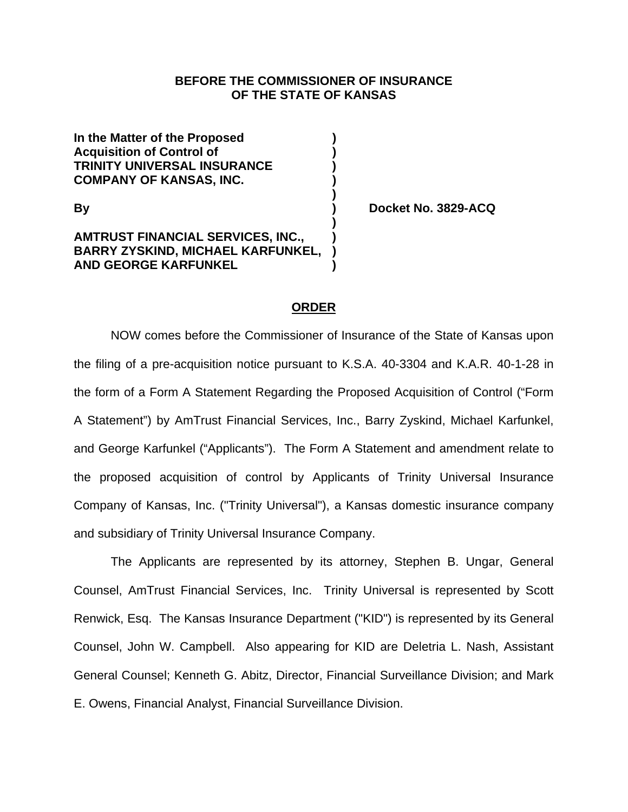#### **BEFORE THE COMMISSIONER OF INSURANCE OF THE STATE OF KANSAS**

**In the Matter of the Proposed ) Acquisition of Control of ) TRINITY UNIVERSAL INSURANCE ) COMPANY OF KANSAS, INC. )** 

### **) AMTRUST FINANCIAL SERVICES, INC., ) BARRY ZYSKIND, MICHAEL KARFUNKEL, ) AND GEORGE KARFUNKEL )**

 **)** 

**By ) Docket No. 3829-ACQ** 

#### **ORDER**

NOW comes before the Commissioner of Insurance of the State of Kansas upon the filing of a pre-acquisition notice pursuant to K.S.A. 40-3304 and K.A.R. 40-1-28 in the form of a Form A Statement Regarding the Proposed Acquisition of Control ("Form A Statement") by AmTrust Financial Services, Inc., Barry Zyskind, Michael Karfunkel, and George Karfunkel ("Applicants"). The Form A Statement and amendment relate to the proposed acquisition of control by Applicants of Trinity Universal Insurance Company of Kansas, Inc. ("Trinity Universal"), a Kansas domestic insurance company and subsidiary of Trinity Universal Insurance Company.

The Applicants are represented by its attorney, Stephen B. Ungar, General Counsel, AmTrust Financial Services, Inc. Trinity Universal is represented by Scott Renwick, Esq. The Kansas Insurance Department ("KID") is represented by its General Counsel, John W. Campbell. Also appearing for KID are Deletria L. Nash, Assistant General Counsel; Kenneth G. Abitz, Director, Financial Surveillance Division; and Mark E. Owens, Financial Analyst, Financial Surveillance Division.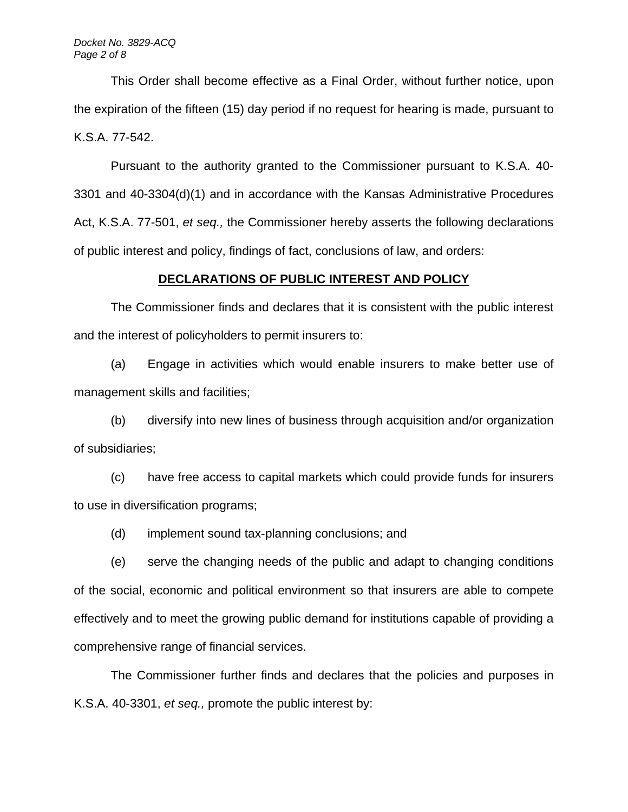This Order shall become effective as a Final Order, without further notice, upon the expiration of the fifteen (15) day period if no request for hearing is made, pursuant to K.S.A. 77-542.

Pursuant to the authority granted to the Commissioner pursuant to K.S.A. 40- 3301 and 40-3304(d)(1) and in accordance with the Kansas Administrative Procedures Act, K.S.A. 77-501, *et seq.,* the Commissioner hereby asserts the following declarations of public interest and policy, findings of fact, conclusions of law, and orders:

### **DECLARATIONS OF PUBLIC INTEREST AND POLICY**

 The Commissioner finds and declares that it is consistent with the public interest and the interest of policyholders to permit insurers to:

(a) Engage in activities which would enable insurers to make better use of management skills and facilities;

(b) diversify into new lines of business through acquisition and/or organization of subsidiaries;

(c) have free access to capital markets which could provide funds for insurers to use in diversification programs;

(d) implement sound tax-planning conclusions; and

(e) serve the changing needs of the public and adapt to changing conditions of the social, economic and political environment so that insurers are able to compete effectively and to meet the growing public demand for institutions capable of providing a comprehensive range of financial services.

The Commissioner further finds and declares that the policies and purposes in K.S.A. 40-3301, *et seq.,* promote the public interest by: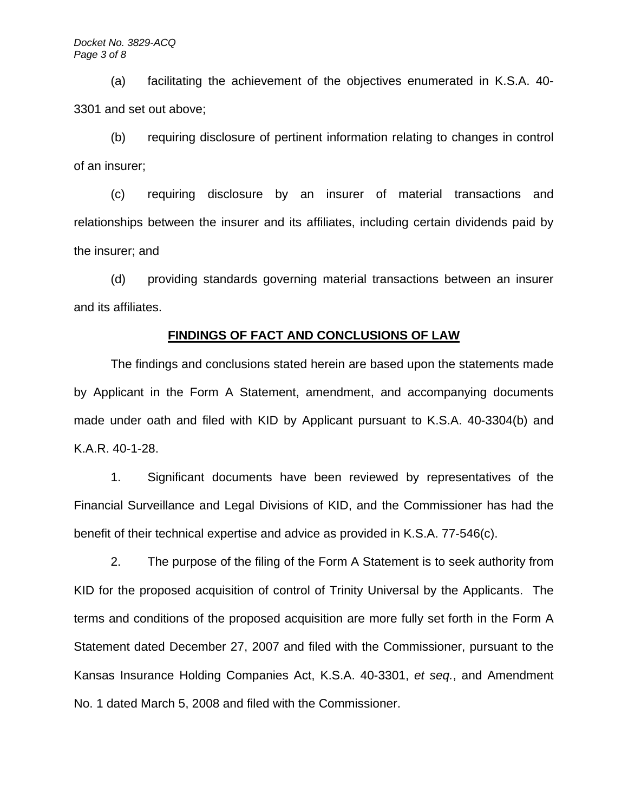(a) facilitating the achievement of the objectives enumerated in K.S.A. 40- 3301 and set out above;

(b) requiring disclosure of pertinent information relating to changes in control of an insurer;

(c) requiring disclosure by an insurer of material transactions and relationships between the insurer and its affiliates, including certain dividends paid by the insurer; and

(d) providing standards governing material transactions between an insurer and its affiliates.

### **FINDINGS OF FACT AND CONCLUSIONS OF LAW**

The findings and conclusions stated herein are based upon the statements made by Applicant in the Form A Statement, amendment, and accompanying documents made under oath and filed with KID by Applicant pursuant to K.S.A. 40-3304(b) and K.A.R. 40-1-28.

1. Significant documents have been reviewed by representatives of the Financial Surveillance and Legal Divisions of KID, and the Commissioner has had the benefit of their technical expertise and advice as provided in K.S.A. 77-546(c).

2. The purpose of the filing of the Form A Statement is to seek authority from KID for the proposed acquisition of control of Trinity Universal by the Applicants. The terms and conditions of the proposed acquisition are more fully set forth in the Form A Statement dated December 27, 2007 and filed with the Commissioner, pursuant to the Kansas Insurance Holding Companies Act, K.S.A. 40-3301, *et seq.*, and Amendment No. 1 dated March 5, 2008 and filed with the Commissioner.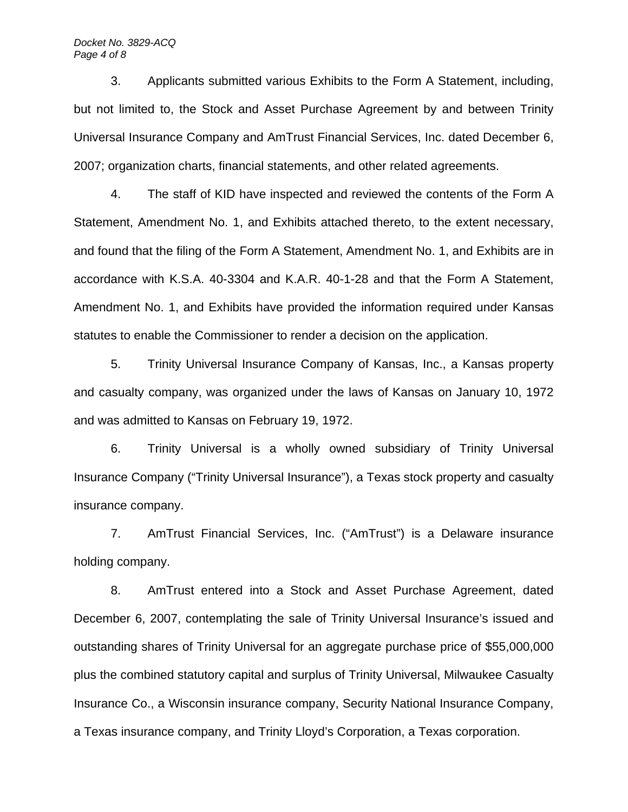3. Applicants submitted various Exhibits to the Form A Statement, including, but not limited to, the Stock and Asset Purchase Agreement by and between Trinity Universal Insurance Company and AmTrust Financial Services, Inc. dated December 6, 2007; organization charts, financial statements, and other related agreements.

4. The staff of KID have inspected and reviewed the contents of the Form A Statement, Amendment No. 1, and Exhibits attached thereto, to the extent necessary, and found that the filing of the Form A Statement, Amendment No. 1, and Exhibits are in accordance with K.S.A. 40-3304 and K.A.R. 40-1-28 and that the Form A Statement, Amendment No. 1, and Exhibits have provided the information required under Kansas statutes to enable the Commissioner to render a decision on the application.

5. Trinity Universal Insurance Company of Kansas, Inc., a Kansas property and casualty company, was organized under the laws of Kansas on January 10, 1972 and was admitted to Kansas on February 19, 1972.

6. Trinity Universal is a wholly owned subsidiary of Trinity Universal Insurance Company ("Trinity Universal Insurance"), a Texas stock property and casualty insurance company.

7. AmTrust Financial Services, Inc. ("AmTrust") is a Delaware insurance holding company.

8. AmTrust entered into a Stock and Asset Purchase Agreement, dated December 6, 2007, contemplating the sale of Trinity Universal Insurance's issued and outstanding shares of Trinity Universal for an aggregate purchase price of \$55,000,000 plus the combined statutory capital and surplus of Trinity Universal, Milwaukee Casualty Insurance Co., a Wisconsin insurance company, Security National Insurance Company, a Texas insurance company, and Trinity Lloyd's Corporation, a Texas corporation.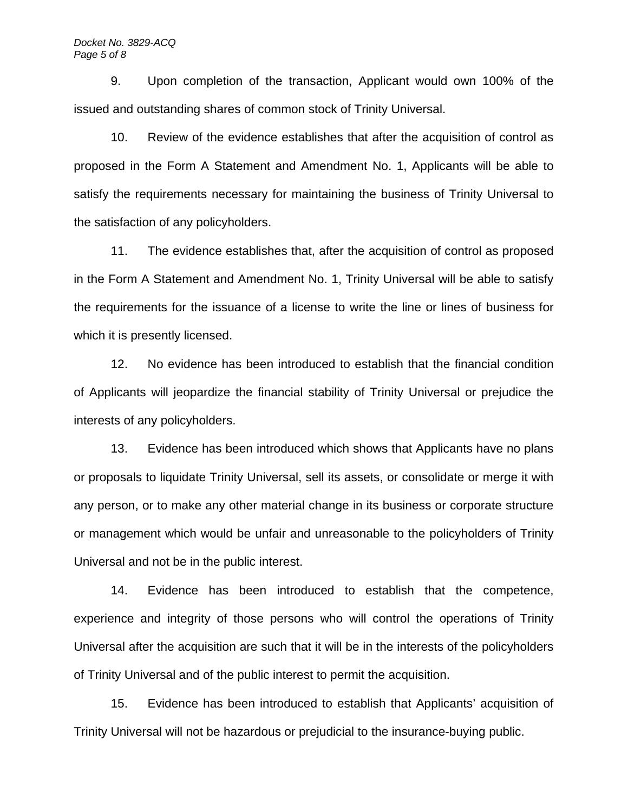9. Upon completion of the transaction, Applicant would own 100% of the issued and outstanding shares of common stock of Trinity Universal.

10. Review of the evidence establishes that after the acquisition of control as proposed in the Form A Statement and Amendment No. 1, Applicants will be able to satisfy the requirements necessary for maintaining the business of Trinity Universal to the satisfaction of any policyholders.

11. The evidence establishes that, after the acquisition of control as proposed in the Form A Statement and Amendment No. 1, Trinity Universal will be able to satisfy the requirements for the issuance of a license to write the line or lines of business for which it is presently licensed.

12. No evidence has been introduced to establish that the financial condition of Applicants will jeopardize the financial stability of Trinity Universal or prejudice the interests of any policyholders.

13. Evidence has been introduced which shows that Applicants have no plans or proposals to liquidate Trinity Universal, sell its assets, or consolidate or merge it with any person, or to make any other material change in its business or corporate structure or management which would be unfair and unreasonable to the policyholders of Trinity Universal and not be in the public interest.

14. Evidence has been introduced to establish that the competence, experience and integrity of those persons who will control the operations of Trinity Universal after the acquisition are such that it will be in the interests of the policyholders of Trinity Universal and of the public interest to permit the acquisition.

15. Evidence has been introduced to establish that Applicants' acquisition of Trinity Universal will not be hazardous or prejudicial to the insurance-buying public.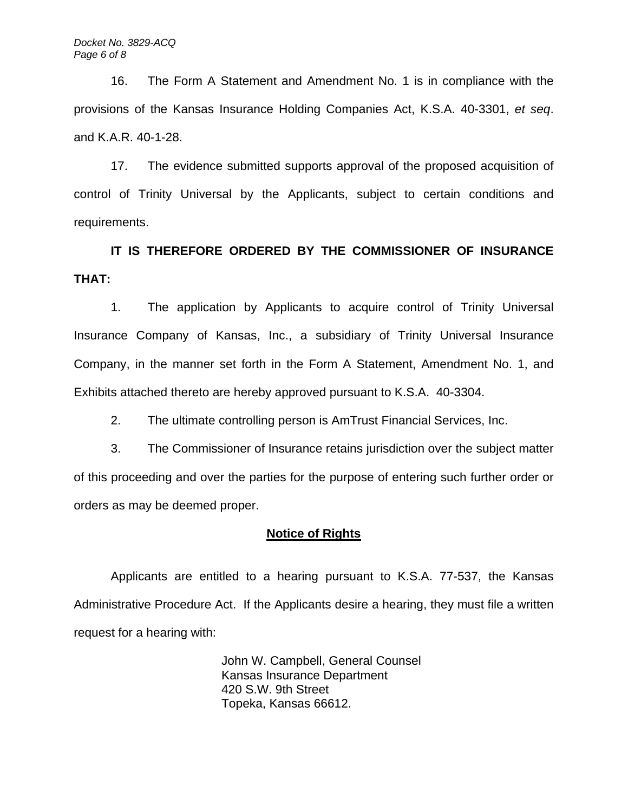16. The Form A Statement and Amendment No. 1 is in compliance with the provisions of the Kansas Insurance Holding Companies Act, K.S.A. 40-3301, *et seq*. and K.A.R. 40-1-28.

17. The evidence submitted supports approval of the proposed acquisition of control of Trinity Universal by the Applicants, subject to certain conditions and requirements.

**IT IS THEREFORE ORDERED BY THE COMMISSIONER OF INSURANCE THAT:** 

 1. The application by Applicants to acquire control of Trinity Universal Insurance Company of Kansas, Inc., a subsidiary of Trinity Universal Insurance Company, in the manner set forth in the Form A Statement, Amendment No. 1, and Exhibits attached thereto are hereby approved pursuant to K.S.A. 40-3304.

2. The ultimate controlling person is AmTrust Financial Services, Inc.

3. The Commissioner of Insurance retains jurisdiction over the subject matter of this proceeding and over the parties for the purpose of entering such further order or orders as may be deemed proper.

# **Notice of Rights**

 Applicants are entitled to a hearing pursuant to K.S.A. 77-537, the Kansas Administrative Procedure Act. If the Applicants desire a hearing, they must file a written request for a hearing with:

> John W. Campbell, General Counsel Kansas Insurance Department 420 S.W. 9th Street Topeka, Kansas 66612.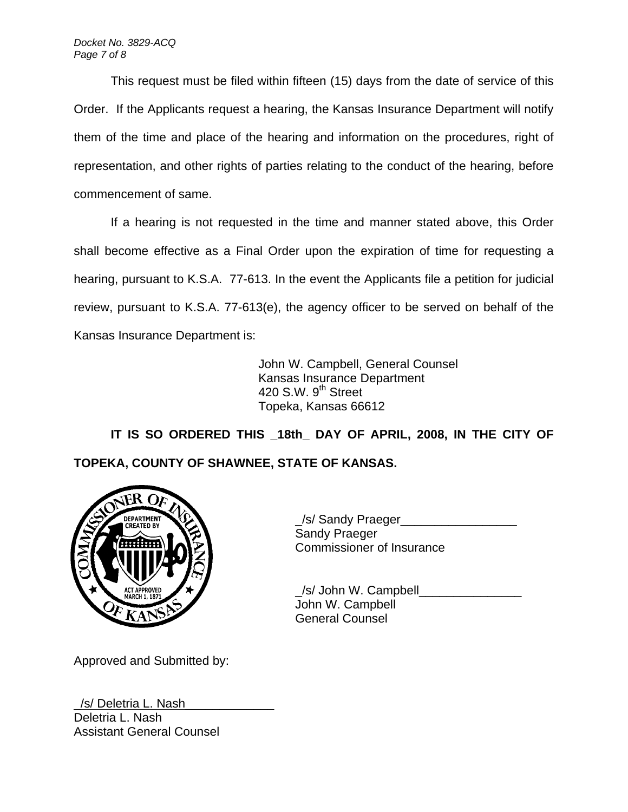*Docket No. 3829-ACQ Page 7 of 8* 

 This request must be filed within fifteen (15) days from the date of service of this Order. If the Applicants request a hearing, the Kansas Insurance Department will notify them of the time and place of the hearing and information on the procedures, right of representation, and other rights of parties relating to the conduct of the hearing, before commencement of same.

 If a hearing is not requested in the time and manner stated above, this Order shall become effective as a Final Order upon the expiration of time for requesting a hearing, pursuant to K.S.A. 77-613. In the event the Applicants file a petition for judicial review, pursuant to K.S.A. 77-613(e), the agency officer to be served on behalf of the Kansas Insurance Department is:

> John W. Campbell, General Counsel Kansas Insurance Department 420 S.W.  $9<sup>th</sup>$  Street Topeka, Kansas 66612

**IT IS SO ORDERED THIS \_18th\_ DAY OF APRIL, 2008, IN THE CITY OF TOPEKA, COUNTY OF SHAWNEE, STATE OF KANSAS.** 



Approved and Submitted by:

\_/s/ Deletria L. Nash\_\_\_\_\_\_\_\_\_\_\_\_\_ Deletria L. Nash Assistant General Counsel

/s/ Sandy Praeger Sandy Praeger Commissioner of Insurance

 \_/s/ John W. Campbell\_\_\_\_\_\_\_\_\_\_\_\_\_\_\_ John W. Campbell General Counsel